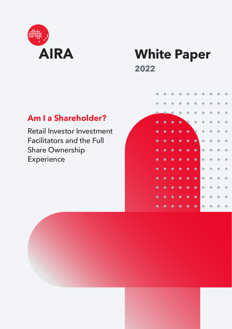

# **White Paper 2022**

## **Am I a Shareholder?**

Retail Investor Investment Facilitators and the Full Share Ownership Experience

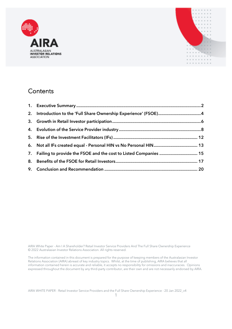



## **Contents**

| 7. Failing to provide the FSOE and the cost to Listed Companies  15 |  |
|---------------------------------------------------------------------|--|
|                                                                     |  |
|                                                                     |  |

AIRA White Paper - Am I A Shareholder? Retail Investor Service Providers And The Full Share Ownership Experience © 2022 Australasian Investor Relations Association. All rights reserved.

The information contained in this document is prepared for the purpose of keeping members of the Australasian Investor Relations Association (AIRA) abreast of key industry topics. Whilst, at the time of publishing, AIRA believes that all information contained herein is accurate and reliable, it accepts no responsibility for omissions and inaccuracies. Opinions expressed throughout the document by any third-party contributor, are their own and are not necessarily endorsed by AIRA.

AIRA WHITE PAPER - Retail Investor Service Providers and the Full Share Ownership Experience - 20 Jan 2022\_v4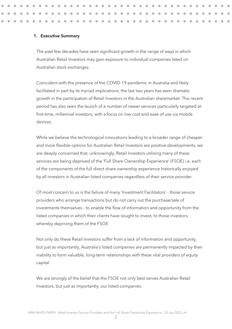#### <span id="page-2-0"></span>**1. Executive Summary**

The past few decades have seen significant growth in the range of ways in which Australian Retail Investors may gain exposure to individual companies listed on Australian stock exchanges.

Coincident with the presence of the COVID-19 pandemic in Australia and likely facilitated in part by its myriad implications, the last two years has seen dramatic growth in the participation of Retail Investors in the Australian sharemarket. This recent period has also seen the launch of a number of newer services particularly targeted at first-time, millennial investors, with a focus on low cost and ease of use via mobile devices.

While we believe the technological innovations leading to a broader range of cheaper and more flexible options for Australian Retail Investors are positive developments, we are deeply concerned that, unknowingly, Retail Investors utilising many of these services are being deprived of the 'Full Share Ownership Experience' (FSOE) i.e. each of the components of the full direct share ownership experience historically enjoyed by all investors in Australian listed companies regardless of their service provider.

Of most concern to us is the failure of many 'Investment Facilitators' - those service providers who arrange transactions but do not carry out the purchase/sale of investments themselves - to enable the flow of information and opportunity from the listed companies in which their clients have sought to invest, to those investors, whereby depriving them of the FSOE.

Not only do these Retail Investors suffer from a lack of information and opportunity, but just as importantly, Australia's listed companies are permanently impacted by their inability to form valuable, long-term relationships with these vital providers of equity capital.

We are strongly of the belief that the FSOE not only best serves Australian Retail Investors, but just as importantly, our listed companies.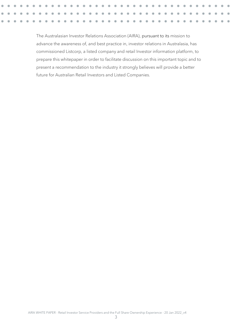The Australasian Investor Relations Association (AIRA), pursuant to its mission to advance the awareness of, and best practice in, investor relations in Australasia, has commissioned Listcorp, a listed company and retail Investor information platform, to prepare this whitepaper in order to facilitate discussion on this important topic and to present a recommendation to the industry it strongly believes will provide a better future for Australian Retail Investors and Listed Companies.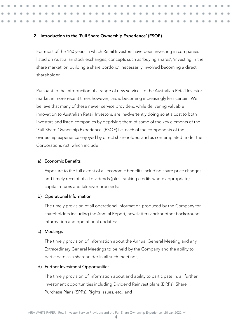#### <span id="page-4-0"></span>**2. Introduction to the 'Full Share Ownership Experience' (FSOE)**

For most of the 160 years in which Retail Investors have been investing in companies listed on Australian stock exchanges, concepts such as 'buying shares', 'investing in the share market' or 'building a share portfolio', necessarily involved becoming a direct shareholder.

Pursuant to the introduction of a range of new services to the Australian Retail Investor market in more recent times however, this is becoming increasingly less certain. We believe that many of these newer service providers, while delivering valuable innovation to Australian Retail Investors, are inadvertently doing so at a cost to both investors and listed companies by depriving them of some of the key elements of the 'Full Share Ownership Experience' (FSOE) i.e. each of the components of the ownership experience enjoyed by direct shareholders and as contemplated under the Corporations Act, which include:

#### a) Economic Benefits

Exposure to the full extent of all economic benefits including share price changes and timely receipt of all dividends (plus franking credits where appropriate), capital returns and takeover proceeds;

#### b) Operational Information

The timely provision of all operational information produced by the Company for shareholders including the Annual Report, newsletters and/or other background information and operational updates;

#### c) Meetings

The timely provision of information about the Annual General Meeting and any Extraordinary General Meetings to be held by the Company and the ability to participate as a shareholder in all such meetings;

#### d) Further Investment Opportunities

The timely provision of information about and ability to participate in, all further investment opportunities including Dividend Reinvest plans (DRPs), Share Purchase Plans (SPPs), Rights Issues, etc.; and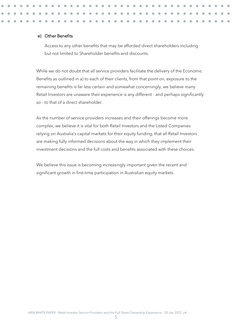#### e) Other Benefits

Access to any other benefits that may be afforded direct shareholders including but not limited to Shareholder benefits and discounts.

While we do not doubt that all service providers facilitate the delivery of the Economic Benefits as outlined in a) to each of their clients, from that point on, exposure to the remaining benefits is far less certain and somewhat concerningly, we believe many Retail Investors are unaware their experience is any different - and perhaps significantly so - to that of a direct shareholder.

As the number of service providers increases and their offerings become more complex, we believe it is vital for both Retail Investors and the Listed Companies relying on Australia's capital markets for their equity funding, that all Retail Investors are making fully informed decisions about the way in which they implement their investment decisions and the full costs and benefits associated with these choices.

We believe this issue is becoming increasingly important given the recent and significant growth in first-time participation in Australian equity markets.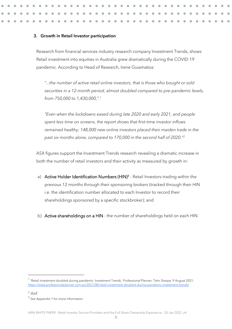#### <span id="page-6-0"></span>**3. Growth in Retail Investor participation**

Research from financial services industry research company Investment Trends, shows Retail investment into equities in Australia grew dramatically during the COVID-19 pandemic. According to Head of Research, Irene Guiamatsia:

*"...the number of active retail online investors, that is those who bought or sold securities in a 12-month period, almost doubled compared to pre-pandemic levels, from 750,000 to 1,430,000,".<sup>1</sup>*

*"Even when the lockdowns eased during late 2020 and early 2021, and people spent less time on screens, the report shows that first-time investor inflows remained healthy; 148,000 new online investors placed their maiden trade in the past six months alone, compared to 170,000 in the second half of 2020."<sup>2</sup>*

ASX figures support the Investment Trends research revealing a dramatic increase in both the number of retail investors and their activity as measured by growth in:

- a) Active Holder Identification Numbers (HIN)<sup>3</sup> Retail Investors trading within the previous 12 months through their sponsoring brokers (tracked through their HIN i.e. the identification number allocated to each Investor to record their shareholdings sponsored by a specific stockbroker); and
- b) Active shareholdings on a HIN the number of shareholdings held on each HIN

<sup>&</sup>lt;sup>1</sup> 'Retail investment doubled during pandemic: Investment Trends', Professional Planner, Tahn Sharpe, 9 August 2021, <https://www.professionalplanner.com.au/2021/08/retail-investment-doubled-during-pandemic-investment-trends/>

<sup>2</sup> *ibid*

<sup>&</sup>lt;sup>3</sup> See Appendix 1 for more information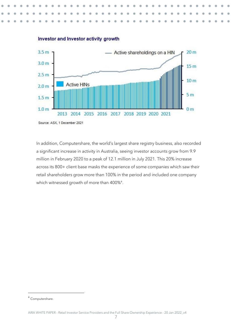

#### Investor and Investor activity growth

In addition, Computershare, the world's largest share registry business, also recorded a significant increase in activity in Australia, seeing investor accounts grow from 9.9 million in February 2020 to a peak of 12.1 million in July 2021. This 20% increase across its 800+ client base masks the experience of some companies which saw their retail shareholders grow more than 100% in the period and included one company which witnessed growth of more than 400%<sup>4</sup> .

<sup>4</sup> Computershare.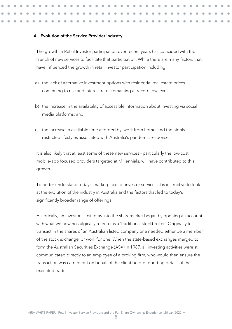#### <span id="page-8-0"></span>**4. Evolution of the Service Provider industry**

The growth in Retail Investor participation over recent years has coincided with the launch of new services to facilitate that participation. While there are many factors that have influenced the growth in retail investor participation including:

- a) the lack of alternative investment options with residential real estate prices continuing to rise and interest rates remaining at record low levels;
- b) the increase in the availability of accessible information about investing via social media platforms; and
- c) the increase in available time afforded by 'work from home' and the highly restricted lifestyles associated with Australia's pandemic response,

it is also likely that at least some of these new services - particularly the low-cost, mobile-app focused providers targeted at Millennials, will have contributed to this growth.

To better understand today's marketplace for investor services, it is instructive to look at the evolution of the industry in Australia and the factors that led to today's significantly broader range of offerings.

Historically, an Investor's first foray into the sharemarket began by opening an account with what we now nostalgically refer to as a 'traditional stockbroker'. Originally to transact in the shares of an Australian listed company one needed either be a member of the stock exchange, or work for one. When the state-based exchanges merged to form the Australian Securities Exchange (ASX) in 1987, all investing activities were still communicated directly to an employee of a broking firm, who would then ensure the transaction was carried out on behalf of the client before reporting details of the executed trade.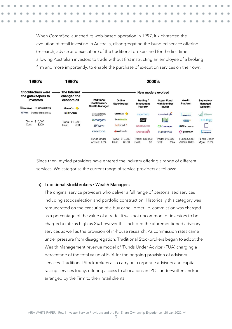When CommSec launched its web-based operation in 1997, it kick-started the evolution of retail investing in Australia, disaggregating the bundled service offering (research, advice and execution) of the traditional brokers and for the first time allowing Australian investors to trade without first instructing an employee of a broking firm and more importantly, to enable the purchase of execution services on their own.



Since then, myriad providers have entered the industry offering a range of different services. We categorise the current range of service providers as follows:

#### a) Traditional Stockbrokers / Wealth Managers

The original service providers who deliver a full range of personalised services including stock selection and portfolio construction. Historically this category was remunerated on the execution of a buy or sell order i.e. commission was charged as a percentage of the value of a trade. It was not uncommon for investors to be charged a rate as high as 2% however this included the aforementioned advisory services as well as the provision of in-house research. As commission rates came under pressure from disaggregation, Traditional Stockbrokers began to adopt the Wealth Management revenue model of 'Funds Under Advice' (FUA) charging a percentage of the total value of FUA for the ongoing provision of advisory services. Traditional Stockbrokers also carry out corporate advisory and capital raising services today, offering access to allocations in IPOs underwritten and/or arranged by the Firm to their retail clients.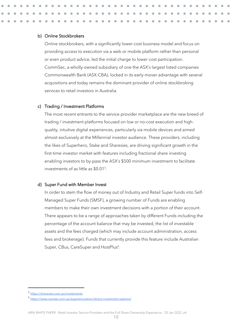#### b) Online Stockbrokers

Online stockbrokers, with a significantly lower-cost business model and focus on providing access to execution via a web or mobile platform rather than personal or even product advice, led the initial charge to lower cost participation. CommSec, a wholly-owned subsidiary of one the ASX's largest listed companies Commonwealth Bank (ASX:CBA), locked in its early-mover advantage with several acquisitions and today remains the dominant provider of online stockbroking services to retail investors in Australia.

#### c) Trading / Investment Platforms

The most recent entrants to the service provider marketplace are the new breed of trading / investment platforms focused on low or no-cost execution and highquality, intuitive digital experiences, particularly via mobile devices and aimed almost exclusively at the Millennial investor audience. These providers, including the likes of Superhero, Stake and Sharesies, are driving significant growth in the first-time investor market with features including fractional share investing enabling investors to by-pass the ASX's \$500 minimum investment to facilitate investments of as little as \$0.01<sup>5</sup> .

#### d) Super Fund with Member Invest

In order to stem the flow of money out of Industry and Retail Super funds into Self-Managed Super Funds (SMSF), a growing number of Funds are enabling members to make their own investment decisions with a portion of their account. There appears to be a range of approaches taken by different Funds including the percentage of the account balance that may be invested, the list of investable assets and the fees charged (which may include account administration, access fees and brokerage). Funds that currently provide this feature include Australian Super, CBus, CareSuper and HostPlus<sup>6</sup>.

<sup>5</sup> <https://sharesies.com.au/investments>

<sup>6</sup> <https://www.canstar.com.au/superannuation/direct-investment-options/>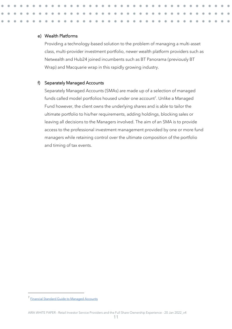#### e) Wealth Platforms

Providing a technology-based solution to the problem of managing a multi-asset class, multi-provider investment portfolio, newer wealth platform providers such as Netwealth and Hub24 joined incumbents such as BT Panorama (previously BT Wrap) and Macquarie wrap in this rapidly growing industry.

#### f) Separately Managed Accounts

Separately Managed Accounts (SMAs) are made up of a selection of managed funds called model portfolios housed under one account<sup>7</sup>. Unlike a Managed Fund however, the client owns the underlying shares and is able to tailor the ultimate portfolio to his/her requirements, adding holdings, blocking sales or leaving all decisions to the Managers involved. The aim of an SMA is to provide access to the professional investment management provided by one or more fund managers while retaining control over the ultimate composition of the portfolio and timing of tax events.

<sup>&</sup>lt;sup>7</sup> [Financial Standard Guide to Managed Accounts](https://rainmaker-s3-media.s3-ap-southeast-2.amazonaws.com/prod/media/library/Financial%20Standard/Products/Guide%20Series/Managed%20Accounts/MA-Guide1_n01.pdf?fcd9d)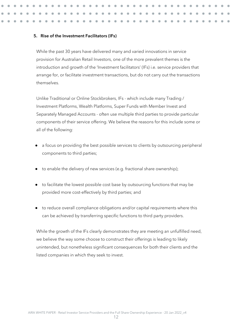#### <span id="page-12-0"></span>5. **Rise of the Investment Facilitators (IFs)**

While the past 30 years have delivered many and varied innovations in service provision for Australian Retail Investors, one of the more prevalent themes is the introduction and growth of the 'Investment facilitators' (IFs) i.e. service providers that arrange for, or facilitate investment transactions, but do not carry out the transactions themselves.

Unlike Traditional or Online Stockbrokers, IFs - which include many Trading / Investment Platforms, Wealth Platforms, Super Funds with Member Invest and Separately Managed Accounts - often use multiple third parties to provide particular components of their service offering. We believe the reasons for this include some or all of the following:

- a focus on providing the best possible services to clients by outsourcing peripheral components to third parties;
- to enable the delivery of new services (e.g. fractional share ownership);
- to facilitate the lowest possible cost base by outsourcing functions that may be provided more cost-effectively by third parties; and
- to reduce overall compliance obligations and/or capital requirements where this can be achieved by transferring specific functions to third party providers.

While the growth of the IFs clearly demonstrates they are meeting an unfulfilled need, we believe the way some choose to construct their offerings is leading to likely unintended, but nonetheless significant consequences for both their clients and the listed companies in which they seek to invest.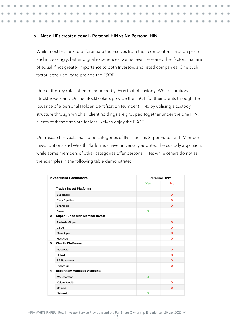#### <span id="page-13-0"></span>6. **Not all IFs created equal - Personal HIN vs No Personal HIN**

While most IFs seek to differentiate themselves from their competitors through price and increasingly, better digital experiences, we believe there are other factors that are of equal if not greater importance to both Investors and listed companies. One such factor is their ability to provide the FSOE.

One of the key roles often outsourced by IFs is that of custody. While Traditional Stockbrokers and Online Stockbrokers provide the FSOE for their clients through the issuance of a personal Holder Identification Number (HIN), by utilising a custody structure through which all client holdings are grouped together under the one HIN, clients of these firms are far less likely to enjoy the FSOE.

Our research reveals that some categories of IFs - such as Super Funds with Member Invest options and Wealth Platforms - have universally adopted the custody approach, while some members of other categories offer personal HINs while others do not as the examples in the following table demonstrate:

| <b>Investment Facilitators</b> |                                       | <b>Personal HIN?</b> |             |  |
|--------------------------------|---------------------------------------|----------------------|-------------|--|
|                                |                                       | <b>Yes</b>           | <b>No</b>   |  |
| $\mathbf{1}$ .                 | <b>Trade / Invest Platforms</b>       |                      |             |  |
|                                | Superhero                             |                      | X           |  |
|                                | <b>Easy Equities</b>                  |                      | X           |  |
|                                | <b>Sharesies</b>                      |                      | X           |  |
|                                | <b>Stake</b>                          | X                    |             |  |
| 2.                             | <b>Super Funds with Member Invest</b> |                      |             |  |
|                                | AustralianSuper                       |                      | $\mathbf x$ |  |
|                                | <b>CBUS</b>                           |                      | X           |  |
|                                | CareSuper                             |                      | X           |  |
|                                | <b>HostPlus</b>                       |                      | X           |  |
| 3.                             | <b>Wealth Platforms</b>               |                      |             |  |
|                                | Netwealth                             |                      | $\mathbf x$ |  |
|                                | Hub24                                 |                      | X           |  |
|                                | <b>BT</b> Panorama                    |                      | X           |  |
|                                | Praemium                              |                      | X           |  |
| 4.                             | <b>Separately Managed Accounts</b>    |                      |             |  |
|                                | <b>MA Operator</b>                    | $\mathbf x$          |             |  |
|                                | Xplore Wealth                         |                      | X           |  |
|                                | Onevue                                |                      | $\mathbf x$ |  |
|                                | Netwealth                             | x                    |             |  |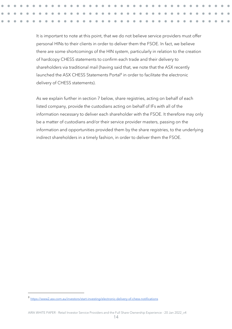It is important to note at this point, that we do not believe service providers must offer personal HINs to their clients in order to deliver them the FSOE. In fact, we believe there are some shortcomings of the HIN system, particularly in relation to the creation of hardcopy CHESS statements to confirm each trade and their delivery to shareholders via traditional mail (having said that, we note that the ASX recently launched the ASX CHESS Statements Portal<sup>8</sup> in order to facilitate the electronic delivery of CHESS statements).

As we explain further in section 7 below, share registries, acting on behalf of each listed company, provide the custodians acting on behalf of IFs with all of the information necessary to deliver each shareholder with the FSOE. It therefore may only be a matter of custodians and/or their service provider masters, passing on the information and opportunities provided them by the share registries, to the underlying indirect shareholders in a timely fashion, in order to deliver them the FSOE.

<sup>8</sup> <https://www2.asx.com.au/investors/start-investing/electronic-delivery-of-chess-notifications>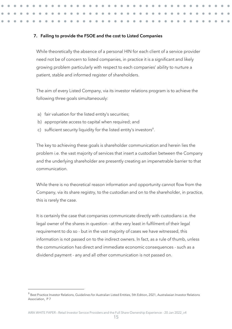#### <span id="page-15-0"></span>7. **Failing to provide the FSOE and the cost to Listed Companies**

While theoretically the absence of a personal HIN for each client of a service provider need not be of concern to listed companies, in practice it is a significant and likely growing problem particularly with respect to each companies' ability to nurture a patient, stable and informed register of shareholders.

The aim of every Listed Company, via its investor relations program is to achieve the following three goals simultaneously:

- a) fair valuation for the listed entity's securities;
- b) appropriate access to capital when required; and
- c) sufficient security liquidity for the listed entity's investors<sup>9</sup>.

The key to achieving these goals is shareholder communication and herein lies the problem i.e. the vast majority of services that insert a custodian between the Company and the underlying shareholder are presently creating an impenetrable barrier to that communication.

While there is no theoretical reason information and opportunity cannot flow from the Company, via its share registry, to the custodian and on to the shareholder, in practice, this is rarely the case.

It is certainly the case that companies communicate directly with custodians i.e. the legal owner of the shares in question - at the very least in fulfilment of their legal requirement to do so - but in the vast majority of cases we have witnessed, this information is not passed on to the indirect owners. In fact, as a rule of thumb, unless the communication has direct and immediate economic consequences - such as a dividend payment - any and all other communication is not passed on.

<sup>&</sup>lt;sup>9</sup> Best Practice Investor Relations, Guidelines for Australian Listed Entities, 5th Edition, 2021, Australasian Investor Relations Association, P 7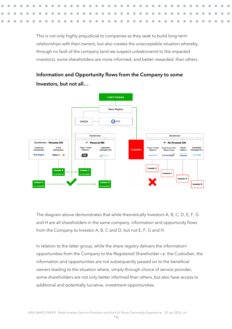This is not only highly prejudicial to companies as they seek to build long-term relationships with their owners, but also creates the unacceptable situation whereby, through no fault of the company (and we suspect unbeknownst to the impacted investors), some shareholders are more informed, and better rewarded, than others.



Information and Opportunity flows from the Company to some Investors, but not all…

The diagram above demonstrates that while theoretically Investors A, B, C, D, E, F, G and H are all shareholders in the same company, information and opportunity flows from the Company to Investor A, B, C and D, but not E, F, G and H.

In relation to the latter group, while the share registry delivers the information/ opportunities from the Company to the Registered Shareholder i.e. the Custodian, the information and opportunities are not subsequently passed on to the beneficial owners leading to the situation where, simply through choice of service provider, some shareholders are not only better informed than others, but also have access to additional and potentially lucrative, investment opportunities.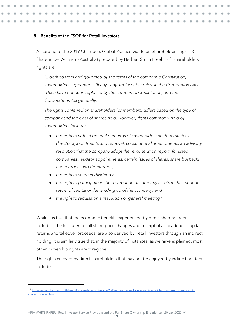#### <span id="page-17-0"></span>8. **Benefits of the FSOE for Retail Investors**

According to the 2019 Chambers Global Practice Guide on Shareholders' rights & Shareholder Activism (Australia) prepared by Herbert Smith Freehills<sup>10</sup>, shareholders rights are:

*"...derived from and governed by the terms of the company's Constitution, shareholders' agreements (if any), any 'replaceable rules' in the Corporations Act which have not been replaced by the company's Constitution, and the Corporations Act generally.* 

*The rights conferred on shareholders (or members) differs based on the type of company and the class of shares held. However, rights commonly held by shareholders include:*

- *the right to vote at general meetings of shareholders on items such as director appointments and removal, constitutional amendments, an advisory resolution that the company adopt the remuneration report (for listed companies), auditor appointments, certain issues of shares, share buybacks, and mergers and de-mergers;*
- *the right to share in dividends;*
- *the right to participate in the distribution of company assets in the event of return of capital or the winding up of the company; and*
- the right to requisition a resolution or general meeting."

While it is true that the economic benefits experienced by direct shareholders including the full extent of all share price changes and receipt of all dividends, capital returns and takeover proceeds, are also derived by Retail Investors through an indirect holding, it is similarly true that, in the majority of instances, as we have explained, most other ownership rights are foregone.

The rights enjoyed by direct shareholders that may not be enjoyed by indirect holders include:

<sup>10</sup> [https://www.herbertsmithfreehills.com/latest-thinking/2019-chambers-global-practice-guide-on-shareholders-rights](https://www.herbertsmithfreehills.com/latest-thinking/2019-chambers-global-practice-guide-on-shareholders-rights-shareholder-activism)[shareholder-activism](https://www.herbertsmithfreehills.com/latest-thinking/2019-chambers-global-practice-guide-on-shareholders-rights-shareholder-activism)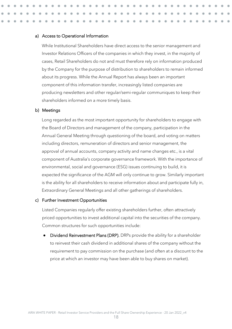#### a) Access to Operational Information

While Institutional Shareholders have direct access to the senior management and Investor Relations Officers of the companies in which they invest, in the majority of cases, Retail Shareholders do not and must therefore rely on information produced by the Company for the purpose of distribution to shareholders to remain informed about its progress. While the Annual Report has always been an important component of this information transfer, increasingly listed companies are producing newsletters and other regular/semi-regular communiques to keep their shareholders informed on a more timely basis.

#### b) Meetings

Long regarded as the most important opportunity for shareholders to engage with the Board of Directors and management of the company, participation in the Annual General Meeting through questioning of the board, and voting on matters including directors, remuneration of directors and senior management, the approval of annual accounts, company activity and name changes etc., is a vital component of Australia's corporate governance framework. With the importance of environmental, social and governance (ESG) issues continuing to build, it is expected the significance of the AGM will only continue to grow. Similarly important is the ability for all shareholders to receive information about and participate fully in, Extraordinary General Meetings and all other gatherings of shareholders.

#### c) Further Investment Opportunities

Listed Companies regularly offer existing shareholders further, often attractively priced opportunities to invest additional capital into the securities of the company. Common structures for such opportunities include:

Dividend Reinvestment Plans (DRP). DRPs provide the ability for a shareholder to reinvest their cash dividend in additional shares of the company without the requirement to pay commission on the purchase (and often at a discount to the price at which an investor may have been able to buy shares on market).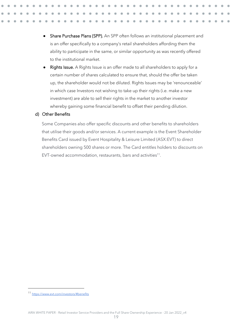- Share Purchase Plans (SPP). An SPP often follows an institutional placement and is an offer specifically to a company's retail shareholders affording them the ability to participate in the same, or similar opportunity as was recently offered to the institutional market.
- Rights Issue. A Rights Issue is an offer made to all shareholders to apply for a certain number of shares calculated to ensure that, should the offer be taken up, the shareholder would not be diluted. Rights Issues may be 'renounceable' in which case Investors not wishing to take up their rights (i.e. make a new investment) are able to sell their rights in the market to another investor whereby gaining some financial benefit to offset their pending dilution.

#### d) Other Benefits

Some Companies also offer specific discounts and other benefits to shareholders that utilise their goods and/or services. A current example is the Event Shareholder Benefits Card issued by Event Hospitality & Leisure Limited (ASX:EVT) to direct shareholders owning 500 shares or more. The Card entitles holders to discounts on EVT-owned accommodation, restaurants, bars and activities<sup>11</sup>.

<sup>11</sup> <https://www.evt.com/investors/#benefits>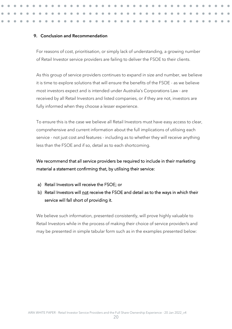#### <span id="page-20-0"></span>9. **Conclusion and Recommendation**

For reasons of cost, prioritisation, or simply lack of understanding, a growing number of Retail Investor service providers are failing to deliver the FSOE to their clients.

As this group of service providers continues to expand in size and number, we believe it is time to explore solutions that will ensure the benefits of the FSOE - as we believe most investors expect and is intended under Australia's Corporations Law - are received by all Retail Investors and listed companies, or if they are not, investors are fully informed when they choose a lesser experience.

To ensure this is the case we believe all Retail Investors must have easy access to clear, comprehensive and current information about the full implications of utilising each service - not just cost and features - including as to whether they will receive anything less than the FSOE and if so, detail as to each shortcoming.

### We recommend that all service providers be required to include in their marketing material a statement confirming that, by utilising their service:

- a) Retail Investors will receive the FSOE; or
- b) Retail Investors will not receive the FSOE and detail as to the ways in which their service will fall short of providing it.

We believe such information, presented consistently, will prove highly valuable to Retail Investors while in the process of making their choice of service provider/s and may be presented in simple tabular form such as in the examples presented below: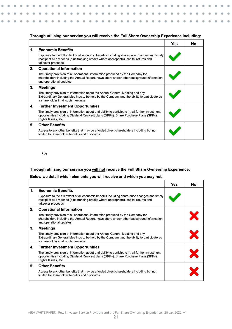#### Through utilising our service you will receive the Full Share Ownership Experience including:

٠

|    |                                                                                                                                                                                                                  | Yes | No |
|----|------------------------------------------------------------------------------------------------------------------------------------------------------------------------------------------------------------------|-----|----|
| 1. | <b>Economic Benefits</b>                                                                                                                                                                                         |     |    |
|    | Exposure to the full extent of all economic benefits including share price changes and timely<br>receipt of all dividends (plus franking credits where appropriate), capital returns and<br>takeover proceeds    |     |    |
| 2. | <b>Operational Information</b>                                                                                                                                                                                   |     |    |
|    | The timely provision of all operational information produced by the Company for<br>shareholders including the Annual Report, newsletters and/or other background information<br>and operational updates          |     |    |
| 3. | <b>Meetings</b>                                                                                                                                                                                                  |     |    |
|    | The timely provision of information about the Annual General Meeting and any<br>Extraordinary General Meetings to be held by the Company and the ability to participate as<br>a shareholder in all such meetings |     |    |
| 4. | <b>Further Investment Opportunities</b>                                                                                                                                                                          |     |    |
|    | The timely provision of information about and ability to participate in, all further investment<br>opportunities including Dividend Reinvest plans (DRPs), Share Purchase Plans (SPPs),<br>Rights Issues, etc.   |     |    |
| 5. | <b>Other Benefits</b>                                                                                                                                                                                            |     |    |
|    | Access to any other benefits that may be afforded direct shareholders including but not<br>limited to Shareholder benefits and discounts.                                                                        |     |    |

#### Or

#### Through utilising our service you will not receive the Full Share Ownership Experience.

#### Below we detail which elements you will receive and which you may not.

|    |                                                                                                                                                                                                                  | <b>Yes</b> | No |
|----|------------------------------------------------------------------------------------------------------------------------------------------------------------------------------------------------------------------|------------|----|
| 1. | <b>Economic Benefits</b>                                                                                                                                                                                         |            |    |
|    | Exposure to the full extent of all economic benefits including share price changes and timely<br>receipt of all dividends (plus franking credits where appropriate), capital returns and<br>takeover proceeds    |            |    |
| 2. | <b>Operational Information</b>                                                                                                                                                                                   |            |    |
|    | The timely provision of all operational information produced by the Company for<br>shareholders including the Annual Report, newsletters and/or other background information<br>and operational updates          |            |    |
| 3. | Meetings                                                                                                                                                                                                         |            |    |
|    | The timely provision of information about the Annual General Meeting and any<br>Extraordinary General Meetings to be held by the Company and the ability to participate as<br>a shareholder in all such meetings |            |    |
| 4. | <b>Further Investment Opportunities</b>                                                                                                                                                                          |            |    |
|    | The timely provision of information about and ability to participate in, all further investment<br>opportunities including Dividend Reinvest plans (DRPs), Share Purchase Plans (SPPs),<br>Rights Issues, etc.   |            |    |
| 5. | <b>Other Benefits</b>                                                                                                                                                                                            |            |    |
|    | Access to any other benefits that may be afforded direct shareholders including but not<br>limited to Shareholder benefits and discounts.                                                                        |            |    |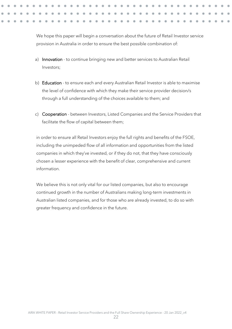We hope this paper will begin a conversation about the future of Retail Investor service provision in Australia in order to ensure the best possible combination of:

- a) Innovation to continue bringing new and better services to Australian Retail Investors;
- b) Education to ensure each and every Australian Retail Investor is able to maximise the level of confidence with which they make their service provider decision/s through a full understanding of the choices available to them; and
- c) Cooperation between Investors, Listed Companies and the Service Providers that facilitate the flow of capital between them;

in order to ensure all Retail Investors enjoy the full rights and benefits of the FSOE, including the unimpeded flow of all information and opportunities from the listed companies in which they've invested, or if they do not, that they have consciously chosen a lesser experience with the benefit of clear, comprehensive and current information.

We believe this is not only vital for our listed companies, but also to encourage continued growth in the number of Australians making long-term investments in Australian listed companies, and for those who are already invested, to do so with greater frequency and confidence in the future.